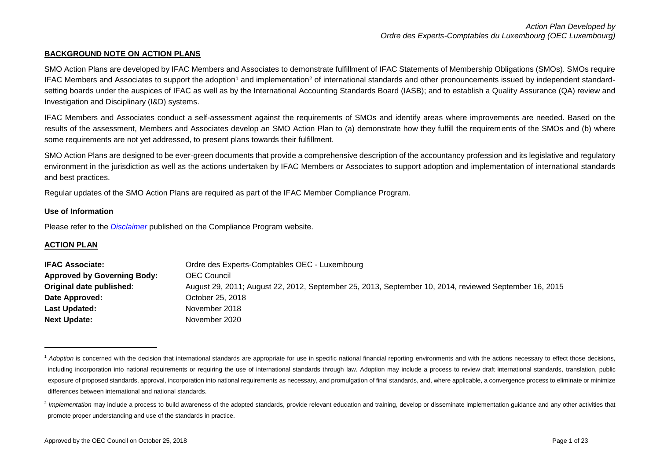## **BACKGROUND NOTE ON ACTION PLANS**

SMO Action Plans are developed by IFAC Members and Associates to demonstrate fulfillment of IFAC Statements of Membership Obligations (SMOs). SMOs require IFAC Members and Associates to support the adoption<sup>1</sup> and implementation<sup>2</sup> of international standards and other pronouncements issued by independent standardsetting boards under the auspices of IFAC as well as by the International Accounting Standards Board (IASB); and to establish a Quality Assurance (QA) review and Investigation and Disciplinary (I&D) systems.

IFAC Members and Associates conduct a self-assessment against the requirements of SMOs and identify areas where improvements are needed. Based on the results of the assessment, Members and Associates develop an SMO Action Plan to (a) demonstrate how they fulfill the requirements of the SMOs and (b) where some requirements are not yet addressed, to present plans towards their fulfillment.

SMO Action Plans are designed to be ever-green documents that provide a comprehensive description of the accountancy profession and its legislative and regulatory environment in the jurisdiction as well as the actions undertaken by IFAC Members or Associates to support adoption and implementation of international standards and best practices.

Regular updates of the SMO Action Plans are required as part of the IFAC Member Compliance Program.

### **Use of Information**

Please refer to the *[Disclaimer](http://www.ifac.org/about-ifac/membership/members/disclaimer)* published on the Compliance Program website.

## **ACTION PLAN**

1

| <b>IFAC Associate:</b>             | Ordre des Experts-Comptables OEC - Luxembourg                                                         |
|------------------------------------|-------------------------------------------------------------------------------------------------------|
| <b>Approved by Governing Body:</b> | OEC Council                                                                                           |
| Original date published:           | August 29, 2011; August 22, 2012, September 25, 2013, September 10, 2014, reviewed September 16, 2015 |
| Date Approved:                     | October 25, 2018                                                                                      |
| <b>Last Updated:</b>               | November 2018                                                                                         |
| <b>Next Update:</b>                | November 2020                                                                                         |

<sup>&</sup>lt;sup>1</sup> Adoption is concerned with the decision that international standards are appropriate for use in specific national financial reporting environments and with the actions necessary to effect those decisions, including incorporation into national requirements or requiring the use of international standards through law. Adoption may include a process to review draft international standards, translation, public exposure of proposed standards, approval, incorporation into national requirements as necessary, and promulgation of final standards, and, where applicable, a convergence process to eliminate or minimize differences between international and national standards.

<sup>&</sup>lt;sup>2</sup> Implementation may include a process to build awareness of the adopted standards, provide relevant education and training, develop or disseminate implementation guidance and any other activities that promote proper understanding and use of the standards in practice.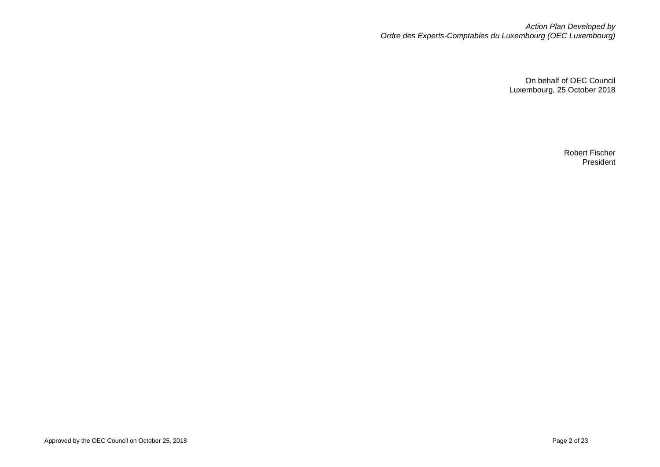*Action Plan Developed by Ordre des Experts-Comptables du Luxembourg (OEC Luxembourg)*

> On behalf of OEC Council Luxembourg, 25 October 2018

> > Robert Fischer President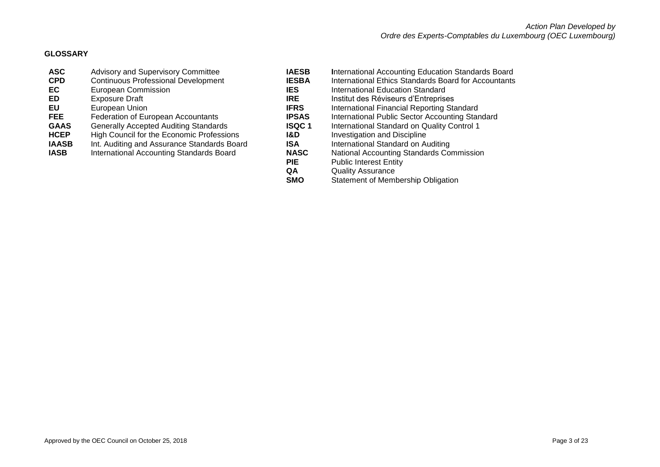## **GLOSSARY**

| <b>ASC</b>   | Advisory and Supervisory Committee           | <b>IAESB</b> | <b>International Accounting Eq</b>  |
|--------------|----------------------------------------------|--------------|-------------------------------------|
| <b>CPD</b>   | <b>Continuous Professional Development</b>   | <b>IESBA</b> | <b>International Ethics Standa</b>  |
| EC           | European Commission                          | <b>IES</b>   | International Education Sta         |
| ED           | <b>Exposure Draft</b>                        | <b>IRE</b>   | Institut des Réviseurs d'Ent        |
| <b>EU</b>    | European Union                               | <b>IFRS</b>  | International Financial Repe        |
| <b>FEE</b>   | Federation of European Accountants           | <b>IPSAS</b> | International Public Sector         |
| <b>GAAS</b>  | <b>Generally Accepted Auditing Standards</b> | <b>ISQC1</b> | International Standard on C         |
| <b>HCEP</b>  | High Council for the Economic Professions    | 1&D          | <b>Investigation and Discipline</b> |
| <b>IAASB</b> | Int. Auditing and Assurance Standards Board  | <b>ISA</b>   | International Standard on A         |
| <b>IASB</b>  | International Accounting Standards Board     | <b>NASC</b>  | <b>National Accounting Standa</b>   |
|              |                                              | <b>PIE</b>   | <b>Public Interest Entity</b>       |
|              |                                              | QΑ           | Quality Assurance                   |

- **Counting Education Standards Board** nics Standards Board for Accountants
- **ELECCITED** European Contraction Standard
- **ED** Exports d'Entreprises
- **European Burion Standard**
- **blic Sector Accounting Standard**
- andard on Quality Control 1<br><sub>I</sub>d Discipline
- 
- **I** and ard on Auditing
- **Inting Standards Commission**
- Entity
- **QA** Quality Assurance<br> **SMO** Statement of Memb
	- **Statement of Membership Obligation**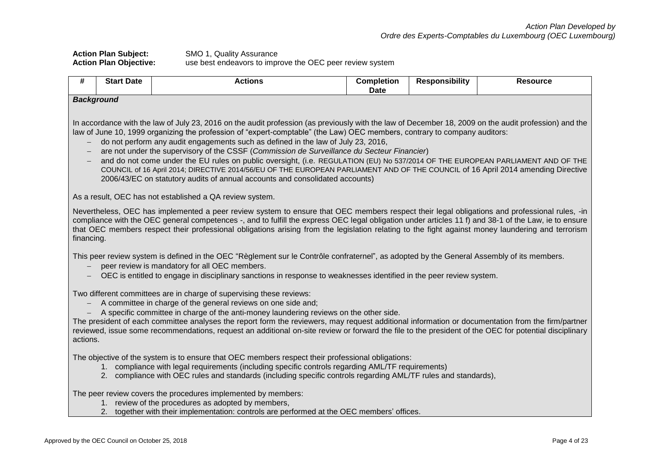| <b>Action Plan Subject:</b>   | SMO 1, Quality Assurance                                 |
|-------------------------------|----------------------------------------------------------|
| <b>Action Plan Objective:</b> | use best endeavors to improve the OEC peer review system |

| #                                                                                | <b>Start Date</b>                                                                                                                                                                                                                                                                                                                                                                                                                                                                                                                                                                                                                                                                                                                                                                                                             | <b>Actions</b>                                                                                                                                                                                                                                                                                                     | <b>Completion</b><br><b>Date</b> | <b>Responsibility</b> | <b>Resource</b> |  |  |  |
|----------------------------------------------------------------------------------|-------------------------------------------------------------------------------------------------------------------------------------------------------------------------------------------------------------------------------------------------------------------------------------------------------------------------------------------------------------------------------------------------------------------------------------------------------------------------------------------------------------------------------------------------------------------------------------------------------------------------------------------------------------------------------------------------------------------------------------------------------------------------------------------------------------------------------|--------------------------------------------------------------------------------------------------------------------------------------------------------------------------------------------------------------------------------------------------------------------------------------------------------------------|----------------------------------|-----------------------|-----------------|--|--|--|
|                                                                                  | <b>Background</b>                                                                                                                                                                                                                                                                                                                                                                                                                                                                                                                                                                                                                                                                                                                                                                                                             |                                                                                                                                                                                                                                                                                                                    |                                  |                       |                 |  |  |  |
| $\overline{\phantom{0}}$<br>$\overline{\phantom{m}}$<br>$\overline{\phantom{a}}$ | In accordance with the law of July 23, 2016 on the audit profession (as previously with the law of December 18, 2009 on the audit profession) and the<br>law of June 10, 1999 organizing the profession of "expert-comptable" (the Law) OEC members, contrary to company auditors:<br>do not perform any audit engagements such as defined in the law of July 23, 2016,<br>are not under the supervisory of the CSSF (Commission de Surveillance du Secteur Financier)<br>and do not come under the EU rules on public oversight, (i.e. REGULATION (EU) No 537/2014 OF THE EUROPEAN PARLIAMENT AND OF THE<br>COUNCIL of 16 April 2014; DIRECTIVE 2014/56/EU OF THE EUROPEAN PARLIAMENT AND OF THE COUNCIL of 16 April 2014 amending Directive<br>2006/43/EC on statutory audits of annual accounts and consolidated accounts) |                                                                                                                                                                                                                                                                                                                    |                                  |                       |                 |  |  |  |
|                                                                                  |                                                                                                                                                                                                                                                                                                                                                                                                                                                                                                                                                                                                                                                                                                                                                                                                                               | As a result, OEC has not established a QA review system.                                                                                                                                                                                                                                                           |                                  |                       |                 |  |  |  |
|                                                                                  | Nevertheless, OEC has implemented a peer review system to ensure that OEC members respect their legal obligations and professional rules, -in<br>compliance with the OEC general competences -, and to fulfill the express OEC legal obligation under articles 11 f) and 38-1 of the Law, ie to ensure<br>that OEC members respect their professional obligations arising from the legislation relating to the fight against money laundering and terrorism<br>financing.                                                                                                                                                                                                                                                                                                                                                     |                                                                                                                                                                                                                                                                                                                    |                                  |                       |                 |  |  |  |
|                                                                                  |                                                                                                                                                                                                                                                                                                                                                                                                                                                                                                                                                                                                                                                                                                                                                                                                                               | This peer review system is defined in the OEC "Règlement sur le Contrôle confraternel", as adopted by the General Assembly of its members.<br>peer review is mandatory for all OEC members.<br>OEC is entitled to engage in disciplinary sanctions in response to weaknesses identified in the peer review system. |                                  |                       |                 |  |  |  |
|                                                                                  | Two different committees are in charge of supervising these reviews:<br>A committee in charge of the general reviews on one side and;<br>A specific committee in charge of the anti-money laundering reviews on the other side.<br>The president of each committee analyses the report form the reviewers, may request additional information or documentation from the firm/partner<br>reviewed, issue some recommendations, request an additional on-site review or forward the file to the president of the OEC for potential disciplinary<br>actions.                                                                                                                                                                                                                                                                     |                                                                                                                                                                                                                                                                                                                    |                                  |                       |                 |  |  |  |
|                                                                                  | The objective of the system is to ensure that OEC members respect their professional obligations:<br>1. compliance with legal requirements (including specific controls regarding AML/TF requirements)<br>2. compliance with OEC rules and standards (including specific controls regarding AML/TF rules and standards),                                                                                                                                                                                                                                                                                                                                                                                                                                                                                                      |                                                                                                                                                                                                                                                                                                                    |                                  |                       |                 |  |  |  |
|                                                                                  |                                                                                                                                                                                                                                                                                                                                                                                                                                                                                                                                                                                                                                                                                                                                                                                                                               | The peer review covers the procedures implemented by members:<br>1. review of the procedures as adopted by members,<br>together with their implementation: controls are performed at the OEC members' offices.                                                                                                     |                                  |                       |                 |  |  |  |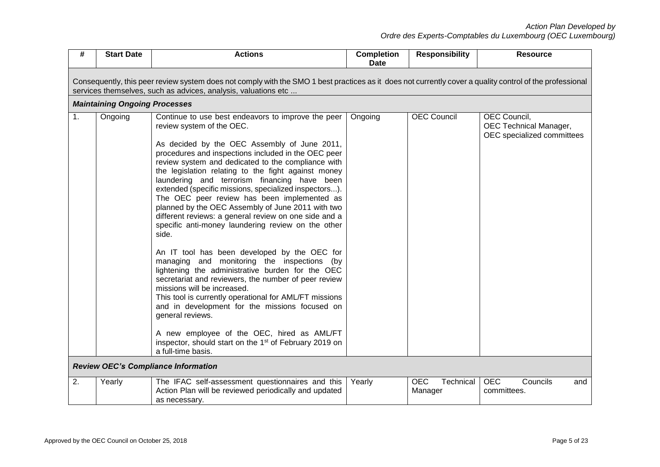| #  | <b>Start Date</b>                                                                                                                                                                                                          | <b>Actions</b>                                                                                                                                                                                                                                                                                                                                                                                                                                                                                                                                                                                                                                                                                                                                                                                                                                                                                                                                                                                                                                                                                                                                               | <b>Completion</b><br><b>Date</b> | <b>Responsibility</b>              | <b>Resource</b>                                                      |  |  |  |  |  |  |
|----|----------------------------------------------------------------------------------------------------------------------------------------------------------------------------------------------------------------------------|--------------------------------------------------------------------------------------------------------------------------------------------------------------------------------------------------------------------------------------------------------------------------------------------------------------------------------------------------------------------------------------------------------------------------------------------------------------------------------------------------------------------------------------------------------------------------------------------------------------------------------------------------------------------------------------------------------------------------------------------------------------------------------------------------------------------------------------------------------------------------------------------------------------------------------------------------------------------------------------------------------------------------------------------------------------------------------------------------------------------------------------------------------------|----------------------------------|------------------------------------|----------------------------------------------------------------------|--|--|--|--|--|--|
|    | Consequently, this peer review system does not comply with the SMO 1 best practices as it does not currently cover a quality control of the professional<br>services themselves, such as advices, analysis, valuations etc |                                                                                                                                                                                                                                                                                                                                                                                                                                                                                                                                                                                                                                                                                                                                                                                                                                                                                                                                                                                                                                                                                                                                                              |                                  |                                    |                                                                      |  |  |  |  |  |  |
|    | <b>Maintaining Ongoing Processes</b>                                                                                                                                                                                       |                                                                                                                                                                                                                                                                                                                                                                                                                                                                                                                                                                                                                                                                                                                                                                                                                                                                                                                                                                                                                                                                                                                                                              |                                  |                                    |                                                                      |  |  |  |  |  |  |
| 1. | Ongoing                                                                                                                                                                                                                    | Continue to use best endeavors to improve the peer<br>review system of the OEC.<br>As decided by the OEC Assembly of June 2011,<br>procedures and inspections included in the OEC peer<br>review system and dedicated to the compliance with<br>the legislation relating to the fight against money<br>laundering and terrorism financing have been<br>extended (specific missions, specialized inspectors).<br>The OEC peer review has been implemented as<br>planned by the OEC Assembly of June 2011 with two<br>different reviews: a general review on one side and a<br>specific anti-money laundering review on the other<br>side.<br>An IT tool has been developed by the OEC for<br>managing and monitoring the inspections (by<br>lightening the administrative burden for the OEC<br>secretariat and reviewers, the number of peer review<br>missions will be increased.<br>This tool is currently operational for AML/FT missions<br>and in development for the missions focused on<br>general reviews.<br>A new employee of the OEC, hired as AML/FT<br>inspector, should start on the 1 <sup>st</sup> of February 2019 on<br>a full-time basis. | Ongoing                          | <b>OEC Council</b>                 | OEC Council,<br>OEC Technical Manager,<br>OEC specialized committees |  |  |  |  |  |  |
|    | <b>Review OEC's Compliance Information</b>                                                                                                                                                                                 |                                                                                                                                                                                                                                                                                                                                                                                                                                                                                                                                                                                                                                                                                                                                                                                                                                                                                                                                                                                                                                                                                                                                                              |                                  |                                    |                                                                      |  |  |  |  |  |  |
| 2. | Yearly                                                                                                                                                                                                                     | The IFAC self-assessment questionnaires and this<br>Action Plan will be reviewed periodically and updated<br>as necessary.                                                                                                                                                                                                                                                                                                                                                                                                                                                                                                                                                                                                                                                                                                                                                                                                                                                                                                                                                                                                                                   | Yearly                           | <b>OEC</b><br>Technical<br>Manager | <b>OEC</b><br>Councils<br>and<br>committees.                         |  |  |  |  |  |  |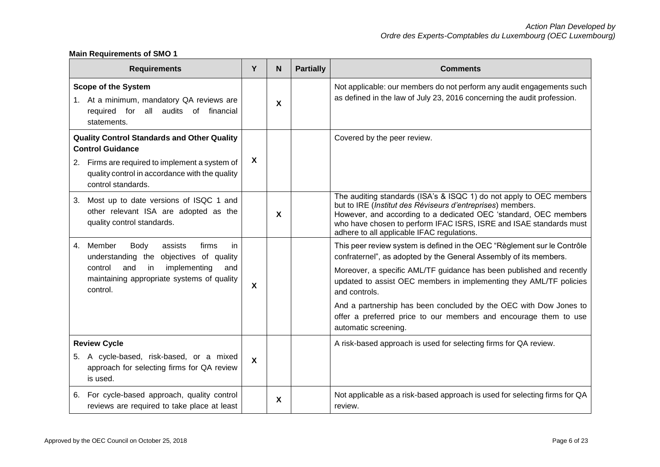## **Main Requirements of SMO 1**

| <b>Requirements</b>                                                                                                                                                                                     | Y                         | N                         | <b>Partially</b> | <b>Comments</b>                                                                                                                                                                                                                                                                                                                                                                                                                                                                |
|---------------------------------------------------------------------------------------------------------------------------------------------------------------------------------------------------------|---------------------------|---------------------------|------------------|--------------------------------------------------------------------------------------------------------------------------------------------------------------------------------------------------------------------------------------------------------------------------------------------------------------------------------------------------------------------------------------------------------------------------------------------------------------------------------|
| <b>Scope of the System</b><br>1. At a minimum, mandatory QA reviews are<br>required for all audits of financial<br>statements.                                                                          |                           | $\boldsymbol{\mathsf{X}}$ |                  | Not applicable: our members do not perform any audit engagements such<br>as defined in the law of July 23, 2016 concerning the audit profession.                                                                                                                                                                                                                                                                                                                               |
| <b>Quality Control Standards and Other Quality</b><br><b>Control Guidance</b><br>2. Firms are required to implement a system of<br>quality control in accordance with the quality<br>control standards. |                           |                           |                  | Covered by the peer review.                                                                                                                                                                                                                                                                                                                                                                                                                                                    |
| Most up to date versions of ISQC 1 and<br>3.<br>other relevant ISA are adopted as the<br>quality control standards.                                                                                     |                           | X                         |                  | The auditing standards (ISA's & ISQC 1) do not apply to OEC members<br>but to IRE (Institut des Réviseurs d'entreprises) members.<br>However, and according to a dedicated OEC 'standard, OEC members<br>who have chosen to perform IFAC ISRS, ISRE and ISAE standards must<br>adhere to all applicable IFAC regulations.                                                                                                                                                      |
| 4. Member<br>Body<br>assists<br>firms<br>in<br>understanding the objectives of quality<br>and<br>implementing<br>control<br>in<br>and<br>maintaining appropriate systems of quality<br>control.         | X                         |                           |                  | This peer review system is defined in the OEC "Règlement sur le Contrôle"<br>confraternel", as adopted by the General Assembly of its members.<br>Moreover, a specific AML/TF guidance has been published and recently<br>updated to assist OEC members in implementing they AML/TF policies<br>and controls.<br>And a partnership has been concluded by the OEC with Dow Jones to<br>offer a preferred price to our members and encourage them to use<br>automatic screening. |
| <b>Review Cycle</b><br>5. A cycle-based, risk-based, or a mixed<br>approach for selecting firms for QA review<br>is used.                                                                               | $\boldsymbol{\mathsf{x}}$ |                           |                  | A risk-based approach is used for selecting firms for QA review.                                                                                                                                                                                                                                                                                                                                                                                                               |
| 6. For cycle-based approach, quality control<br>reviews are required to take place at least                                                                                                             |                           | X                         |                  | Not applicable as a risk-based approach is used for selecting firms for QA<br>review.                                                                                                                                                                                                                                                                                                                                                                                          |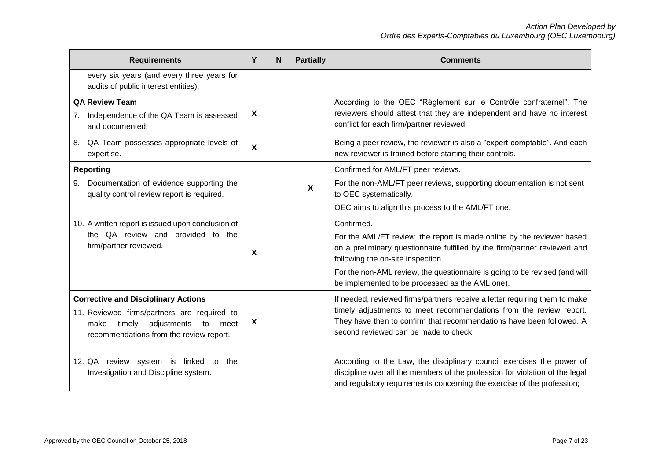| <b>Requirements</b>                                                                                                                                                                 | Υ                         | N. | <b>Partially</b>          | <b>Comments</b>                                                                                                                                                                                                                                                                                                                         |
|-------------------------------------------------------------------------------------------------------------------------------------------------------------------------------------|---------------------------|----|---------------------------|-----------------------------------------------------------------------------------------------------------------------------------------------------------------------------------------------------------------------------------------------------------------------------------------------------------------------------------------|
| every six years (and every three years for<br>audits of public interest entities).                                                                                                  |                           |    |                           |                                                                                                                                                                                                                                                                                                                                         |
| <b>QA Review Team</b><br>Independence of the QA Team is assessed<br>7 <sub>1</sub><br>and documented.                                                                               | X                         |    |                           | According to the OEC "Règlement sur le Contrôle confraternel", The<br>reviewers should attest that they are independent and have no interest<br>conflict for each firm/partner reviewed.                                                                                                                                                |
| 8. QA Team possesses appropriate levels of<br>expertise.                                                                                                                            | $\boldsymbol{\mathsf{X}}$ |    |                           | Being a peer review, the reviewer is also a "expert-comptable". And each<br>new reviewer is trained before starting their controls.                                                                                                                                                                                                     |
| <b>Reporting</b><br>9. Documentation of evidence supporting the<br>quality control review report is required.                                                                       |                           |    | $\boldsymbol{\mathsf{X}}$ | Confirmed for AML/FT peer reviews.<br>For the non-AML/FT peer reviews, supporting documentation is not sent<br>to OEC systematically.<br>OEC aims to align this process to the AML/FT one.                                                                                                                                              |
| 10. A written report is issued upon conclusion of<br>the QA review and provided to the<br>firm/partner reviewed.                                                                    | X                         |    |                           | Confirmed.<br>For the AML/FT review, the report is made online by the reviewer based<br>on a preliminary questionnaire fulfilled by the firm/partner reviewed and<br>following the on-site inspection.<br>For the non-AML review, the questionnaire is going to be revised (and will<br>be implemented to be processed as the AML one). |
| <b>Corrective and Disciplinary Actions</b><br>11. Reviewed firms/partners are required to<br>timely<br>adjustments<br>to<br>make<br>meet<br>recommendations from the review report. | X                         |    |                           | If needed, reviewed firms/partners receive a letter requiring them to make<br>timely adjustments to meet recommendations from the review report.<br>They have then to confirm that recommendations have been followed. A<br>second reviewed can be made to check.                                                                       |
| 12. QA review system is linked to<br>the<br>Investigation and Discipline system.                                                                                                    |                           |    |                           | According to the Law, the disciplinary council exercises the power of<br>discipline over all the members of the profession for violation of the legal<br>and regulatory requirements concerning the exercise of the profession;                                                                                                         |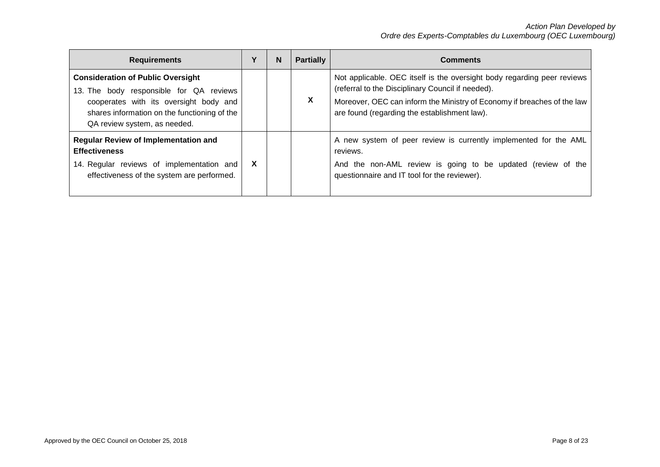| <b>Requirements</b>                                                                                                                                                                                           | v | N | <b>Partially</b> | <b>Comments</b>                                                                                                                                                                                                                                         |
|---------------------------------------------------------------------------------------------------------------------------------------------------------------------------------------------------------------|---|---|------------------|---------------------------------------------------------------------------------------------------------------------------------------------------------------------------------------------------------------------------------------------------------|
| <b>Consideration of Public Oversight</b><br>13. The body responsible for QA reviews<br>cooperates with its oversight body and<br>shares information on the functioning of the<br>QA review system, as needed. |   |   | X                | Not applicable. OEC itself is the oversight body regarding peer reviews<br>(referral to the Disciplinary Council if needed).<br>Moreover, OEC can inform the Ministry of Economy if breaches of the law<br>are found (regarding the establishment law). |
| <b>Regular Review of Implementation and</b><br><b>Effectiveness</b><br>14. Regular reviews of implementation and<br>effectiveness of the system are performed.                                                | X |   |                  | A new system of peer review is currently implemented for the AML<br>reviews.<br>And the non-AML review is going to be updated (review of the<br>questionnaire and IT tool for the reviewer).                                                            |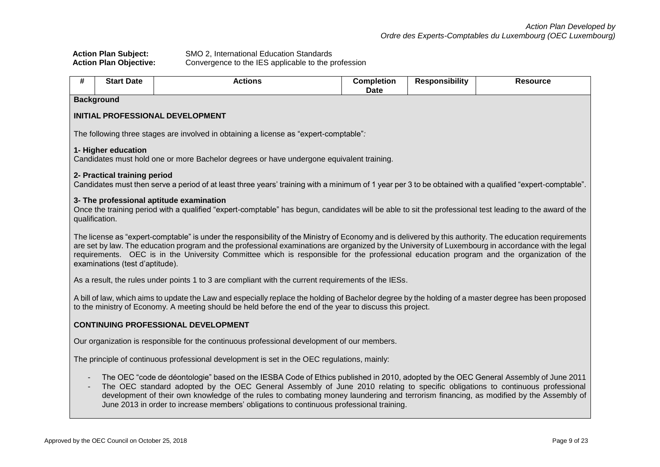| <b>Action Plan Subject:</b>   | SMO 2, International Education Standards            |
|-------------------------------|-----------------------------------------------------|
| <b>Action Plan Objective:</b> | Convergence to the IES applicable to the profession |

| # | <b>Start Date</b>                                                                           | <b>Actions</b>                                                                                                                                                                                                                                                                                                                                                                                                                                                                                            | <b>Completion</b><br><b>Date</b> | <b>Responsibility</b> | <b>Resource</b> |  |  |  |
|---|---------------------------------------------------------------------------------------------|-----------------------------------------------------------------------------------------------------------------------------------------------------------------------------------------------------------------------------------------------------------------------------------------------------------------------------------------------------------------------------------------------------------------------------------------------------------------------------------------------------------|----------------------------------|-----------------------|-----------------|--|--|--|
|   | <b>Background</b>                                                                           |                                                                                                                                                                                                                                                                                                                                                                                                                                                                                                           |                                  |                       |                 |  |  |  |
|   |                                                                                             | INITIAL PROFESSIONAL DEVELOPMENT                                                                                                                                                                                                                                                                                                                                                                                                                                                                          |                                  |                       |                 |  |  |  |
|   |                                                                                             | The following three stages are involved in obtaining a license as "expert-comptable":                                                                                                                                                                                                                                                                                                                                                                                                                     |                                  |                       |                 |  |  |  |
|   | 1- Higher education                                                                         | Candidates must hold one or more Bachelor degrees or have undergone equivalent training.                                                                                                                                                                                                                                                                                                                                                                                                                  |                                  |                       |                 |  |  |  |
|   | 2- Practical training period                                                                | Candidates must then serve a period of at least three years' training with a minimum of 1 year per 3 to be obtained with a qualified "expert-comptable".                                                                                                                                                                                                                                                                                                                                                  |                                  |                       |                 |  |  |  |
|   | qualification.                                                                              | 3- The professional aptitude examination<br>Once the training period with a qualified "expert-comptable" has begun, candidates will be able to sit the professional test leading to the award of the                                                                                                                                                                                                                                                                                                      |                                  |                       |                 |  |  |  |
|   | examinations (test d'aptitude).                                                             | The license as "expert-comptable" is under the responsibility of the Ministry of Economy and is delivered by this authority. The education requirements<br>are set by law. The education program and the professional examinations are organized by the University of Luxembourg in accordance with the legal<br>requirements. OEC is in the University Committee which is responsible for the professional education program and the organization of the                                                 |                                  |                       |                 |  |  |  |
|   |                                                                                             | As a result, the rules under points 1 to 3 are compliant with the current requirements of the IESs.                                                                                                                                                                                                                                                                                                                                                                                                       |                                  |                       |                 |  |  |  |
|   |                                                                                             | A bill of law, which aims to update the Law and especially replace the holding of Bachelor degree by the holding of a master degree has been proposed<br>to the ministry of Economy. A meeting should be held before the end of the year to discuss this project.                                                                                                                                                                                                                                         |                                  |                       |                 |  |  |  |
|   |                                                                                             | <b>CONTINUING PROFESSIONAL DEVELOPMENT</b>                                                                                                                                                                                                                                                                                                                                                                                                                                                                |                                  |                       |                 |  |  |  |
|   |                                                                                             | Our organization is responsible for the continuous professional development of our members.                                                                                                                                                                                                                                                                                                                                                                                                               |                                  |                       |                 |  |  |  |
|   | The principle of continuous professional development is set in the OEC regulations, mainly: |                                                                                                                                                                                                                                                                                                                                                                                                                                                                                                           |                                  |                       |                 |  |  |  |
|   |                                                                                             | The OEC "code de déontologie" based on the IESBA Code of Ethics published in 2010, adopted by the OEC General Assembly of June 2011<br>The OEC standard adopted by the OEC General Assembly of June 2010 relating to specific obligations to continuous professional<br>development of their own knowledge of the rules to combating money laundering and terrorism financing, as modified by the Assembly of<br>June 2013 in order to increase members' obligations to continuous professional training. |                                  |                       |                 |  |  |  |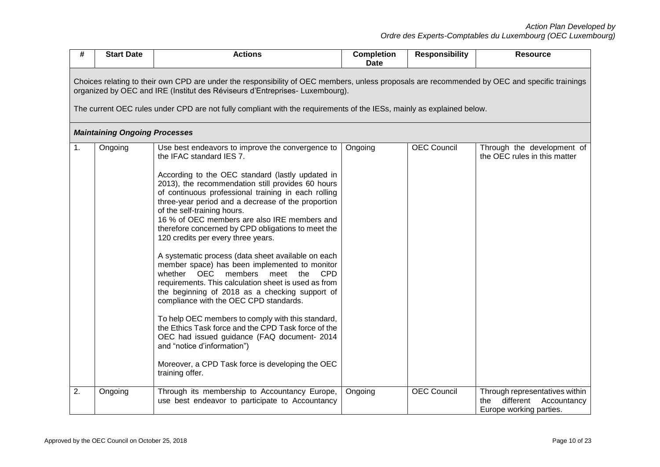| #  | <b>Start Date</b>                                                                                                                                                                                                                                                                                                                                      | <b>Actions</b>                                                                                                                                                                                                                                                                                                                                                                                                                                                                                                                                                                                                                                                                                                                                                                                                                                                                                                                                                                                                                                                   | <b>Completion</b><br><b>Date</b> | <b>Responsibility</b> | <b>Resource</b>                                                                              |  |  |  |  |  |
|----|--------------------------------------------------------------------------------------------------------------------------------------------------------------------------------------------------------------------------------------------------------------------------------------------------------------------------------------------------------|------------------------------------------------------------------------------------------------------------------------------------------------------------------------------------------------------------------------------------------------------------------------------------------------------------------------------------------------------------------------------------------------------------------------------------------------------------------------------------------------------------------------------------------------------------------------------------------------------------------------------------------------------------------------------------------------------------------------------------------------------------------------------------------------------------------------------------------------------------------------------------------------------------------------------------------------------------------------------------------------------------------------------------------------------------------|----------------------------------|-----------------------|----------------------------------------------------------------------------------------------|--|--|--|--|--|
|    | Choices relating to their own CPD are under the responsibility of OEC members, unless proposals are recommended by OEC and specific trainings<br>organized by OEC and IRE (Institut des Réviseurs d'Entreprises- Luxembourg).<br>The current OEC rules under CPD are not fully compliant with the requirements of the IESs, mainly as explained below. |                                                                                                                                                                                                                                                                                                                                                                                                                                                                                                                                                                                                                                                                                                                                                                                                                                                                                                                                                                                                                                                                  |                                  |                       |                                                                                              |  |  |  |  |  |
|    | <b>Maintaining Ongoing Processes</b>                                                                                                                                                                                                                                                                                                                   |                                                                                                                                                                                                                                                                                                                                                                                                                                                                                                                                                                                                                                                                                                                                                                                                                                                                                                                                                                                                                                                                  |                                  |                       |                                                                                              |  |  |  |  |  |
| 1. | Ongoing                                                                                                                                                                                                                                                                                                                                                | Use best endeavors to improve the convergence to<br>the IFAC standard IES 7.<br>According to the OEC standard (lastly updated in<br>2013), the recommendation still provides 60 hours<br>of continuous professional training in each rolling<br>three-year period and a decrease of the proportion<br>of the self-training hours.<br>16 % of OEC members are also IRE members and<br>therefore concerned by CPD obligations to meet the<br>120 credits per every three years.<br>A systematic process (data sheet available on each<br>member space) has been implemented to monitor<br>whether OEC<br>members<br>meet<br>the<br><b>CPD</b><br>requirements. This calculation sheet is used as from<br>the beginning of 2018 as a checking support of<br>compliance with the OEC CPD standards.<br>To help OEC members to comply with this standard,<br>the Ethics Task force and the CPD Task force of the<br>OEC had issued guidance (FAQ document- 2014<br>and "notice d'information")<br>Moreover, a CPD Task force is developing the OEC<br>training offer. | Ongoing                          | <b>OEC Council</b>    | Through the development of<br>the OEC rules in this matter                                   |  |  |  |  |  |
| 2. | Ongoing                                                                                                                                                                                                                                                                                                                                                | Through its membership to Accountancy Europe,<br>use best endeavor to participate to Accountancy                                                                                                                                                                                                                                                                                                                                                                                                                                                                                                                                                                                                                                                                                                                                                                                                                                                                                                                                                                 | Ongoing                          | <b>OEC Council</b>    | Through representatives within<br>different<br>Accountancy<br>the<br>Europe working parties. |  |  |  |  |  |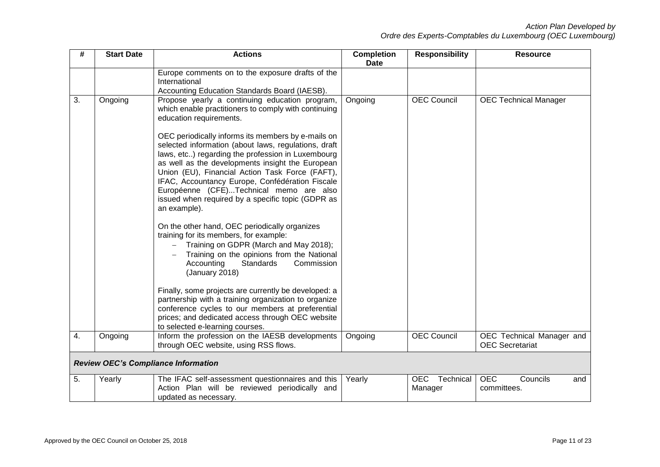| #  | <b>Start Date</b> | <b>Actions</b>                                                                                                                                                                                                                                                                                                                                                                                                                                                                                                                                                 | <b>Completion</b><br><b>Date</b> | <b>Responsibility</b>       | <b>Resource</b>                                     |
|----|-------------------|----------------------------------------------------------------------------------------------------------------------------------------------------------------------------------------------------------------------------------------------------------------------------------------------------------------------------------------------------------------------------------------------------------------------------------------------------------------------------------------------------------------------------------------------------------------|----------------------------------|-----------------------------|-----------------------------------------------------|
|    |                   | Europe comments on to the exposure drafts of the<br>International<br>Accounting Education Standards Board (IAESB).                                                                                                                                                                                                                                                                                                                                                                                                                                             |                                  |                             |                                                     |
| 3. | Ongoing           | Propose yearly a continuing education program,<br>which enable practitioners to comply with continuing<br>education requirements.<br>OEC periodically informs its members by e-mails on<br>selected information (about laws, regulations, draft<br>laws, etc) regarding the profession in Luxembourg<br>as well as the developments insight the European<br>Union (EU), Financial Action Task Force (FAFT),<br>IFAC, Accountancy Europe, Confédération Fiscale<br>Européenne (CFE)Technical memo are also<br>issued when required by a specific topic (GDPR as | Ongoing                          | <b>OEC Council</b>          | <b>OEC Technical Manager</b>                        |
|    |                   | an example).<br>On the other hand, OEC periodically organizes<br>training for its members, for example:<br>Training on GDPR (March and May 2018);<br>Training on the opinions from the National<br>Accounting<br><b>Standards</b><br>Commission<br>(January 2018)                                                                                                                                                                                                                                                                                              |                                  |                             |                                                     |
|    |                   | Finally, some projects are currently be developed: a<br>partnership with a training organization to organize<br>conference cycles to our members at preferential<br>prices; and dedicated access through OEC website<br>to selected e-learning courses.                                                                                                                                                                                                                                                                                                        |                                  |                             |                                                     |
| 4. | Ongoing           | Inform the profession on the IAESB developments<br>through OEC website, using RSS flows.                                                                                                                                                                                                                                                                                                                                                                                                                                                                       | Ongoing                          | <b>OEC Council</b>          | OEC Technical Manager and<br><b>OEC</b> Secretariat |
|    |                   | <b>Review OEC's Compliance Information</b>                                                                                                                                                                                                                                                                                                                                                                                                                                                                                                                     |                                  |                             |                                                     |
| 5. | Yearly            | The IFAC self-assessment questionnaires and this<br>Action Plan will be reviewed periodically and<br>updated as necessary.                                                                                                                                                                                                                                                                                                                                                                                                                                     | Yearly                           | OEC<br>Technical<br>Manager | <b>OEC</b><br>Councils<br>and<br>committees.        |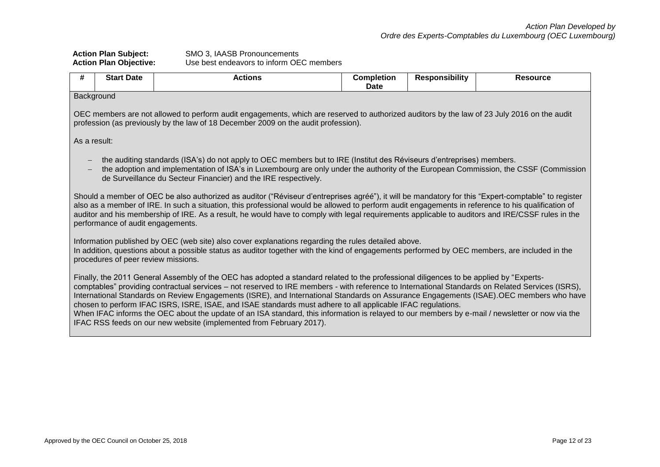## **Action Plan Subject:** SMO 3, IAASB Pronouncements **Action Plan Objective:** Use best endeavors to inform OEC members

| #                                                                                                                                                                                                                                                                                                                                                                                                                                                                                       | <b>Start Date</b>                                                                                                                                                                                                                                                                                                                           | <b>Actions</b>                                                                                                                                                                                                                                                                                                                                                                                                                                                                                                                                                                                                                                                                                                                                                                 | <b>Completion</b><br>Date | <b>Responsibility</b> | <b>Resource</b> |  |  |  |  |
|-----------------------------------------------------------------------------------------------------------------------------------------------------------------------------------------------------------------------------------------------------------------------------------------------------------------------------------------------------------------------------------------------------------------------------------------------------------------------------------------|---------------------------------------------------------------------------------------------------------------------------------------------------------------------------------------------------------------------------------------------------------------------------------------------------------------------------------------------|--------------------------------------------------------------------------------------------------------------------------------------------------------------------------------------------------------------------------------------------------------------------------------------------------------------------------------------------------------------------------------------------------------------------------------------------------------------------------------------------------------------------------------------------------------------------------------------------------------------------------------------------------------------------------------------------------------------------------------------------------------------------------------|---------------------------|-----------------------|-----------------|--|--|--|--|
|                                                                                                                                                                                                                                                                                                                                                                                                                                                                                         | Background                                                                                                                                                                                                                                                                                                                                  |                                                                                                                                                                                                                                                                                                                                                                                                                                                                                                                                                                                                                                                                                                                                                                                |                           |                       |                 |  |  |  |  |
|                                                                                                                                                                                                                                                                                                                                                                                                                                                                                         | OEC members are not allowed to perform audit engagements, which are reserved to authorized auditors by the law of 23 July 2016 on the audit<br>profession (as previously by the law of 18 December 2009 on the audit profession).                                                                                                           |                                                                                                                                                                                                                                                                                                                                                                                                                                                                                                                                                                                                                                                                                                                                                                                |                           |                       |                 |  |  |  |  |
| As a result:                                                                                                                                                                                                                                                                                                                                                                                                                                                                            |                                                                                                                                                                                                                                                                                                                                             |                                                                                                                                                                                                                                                                                                                                                                                                                                                                                                                                                                                                                                                                                                                                                                                |                           |                       |                 |  |  |  |  |
| the auditing standards (ISA's) do not apply to OEC members but to IRE (Institut des Réviseurs d'entreprises) members.<br>the adoption and implementation of ISA's in Luxembourg are only under the authority of the European Commission, the CSSF (Commission<br>de Surveillance du Secteur Financier) and the IRE respectively.<br>Should a member of OEC be also authorized as auditor ("Réviseur d'entreprises agréé"), it will be mandatory for this "Expert-comptable" to register |                                                                                                                                                                                                                                                                                                                                             |                                                                                                                                                                                                                                                                                                                                                                                                                                                                                                                                                                                                                                                                                                                                                                                |                           |                       |                 |  |  |  |  |
|                                                                                                                                                                                                                                                                                                                                                                                                                                                                                         | also as a member of IRE. In such a situation, this professional would be allowed to perform audit engagements in reference to his qualification of<br>auditor and his membership of IRE. As a result, he would have to comply with legal requirements applicable to auditors and IRE/CSSF rules in the<br>performance of audit engagements. |                                                                                                                                                                                                                                                                                                                                                                                                                                                                                                                                                                                                                                                                                                                                                                                |                           |                       |                 |  |  |  |  |
| Information published by OEC (web site) also cover explanations regarding the rules detailed above.<br>In addition, questions about a possible status as auditor together with the kind of engagements performed by OEC members, are included in the<br>procedures of peer review missions.                                                                                                                                                                                             |                                                                                                                                                                                                                                                                                                                                             |                                                                                                                                                                                                                                                                                                                                                                                                                                                                                                                                                                                                                                                                                                                                                                                |                           |                       |                 |  |  |  |  |
|                                                                                                                                                                                                                                                                                                                                                                                                                                                                                         |                                                                                                                                                                                                                                                                                                                                             | Finally, the 2011 General Assembly of the OEC has adopted a standard related to the professional diligences to be applied by "Experts-<br>comptables" providing contractual services - not reserved to IRE members - with reference to International Standards on Related Services (ISRS),<br>International Standards on Review Engagements (ISRE), and International Standards on Assurance Engagements (ISAE). OEC members who have<br>chosen to perform IFAC ISRS, ISRE, ISAE, and ISAE standards must adhere to all applicable IFAC regulations.<br>When IFAC informs the OEC about the update of an ISA standard, this information is relayed to our members by e-mail / newsletter or now via the<br>IFAC RSS feeds on our new website (implemented from February 2017). |                           |                       |                 |  |  |  |  |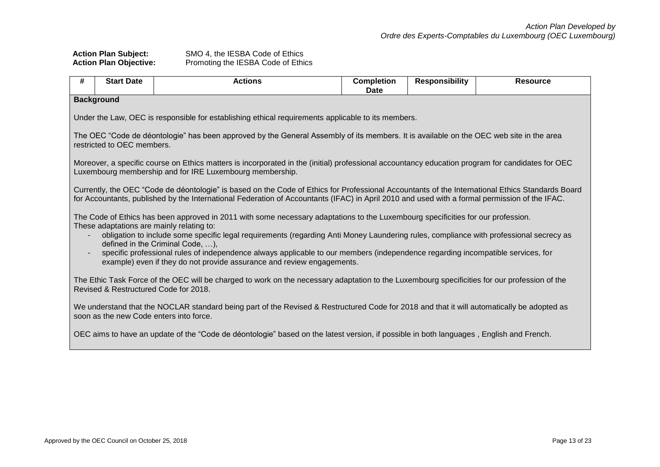| <b>Action Plan Subject:</b>   | SMO 4, the IESBA Code of Ethics    |
|-------------------------------|------------------------------------|
| <b>Action Plan Objective:</b> | Promoting the IESBA Code of Ethics |

| # | <b>Start Date</b>                                                                                                                                                                     | <b>Actions</b>                                                                                                                                                                                                                                                                                    | <b>Completion</b><br>Date | <b>Responsibility</b> | <b>Resource</b> |  |  |  |  |
|---|---------------------------------------------------------------------------------------------------------------------------------------------------------------------------------------|---------------------------------------------------------------------------------------------------------------------------------------------------------------------------------------------------------------------------------------------------------------------------------------------------|---------------------------|-----------------------|-----------------|--|--|--|--|
|   | <b>Background</b>                                                                                                                                                                     |                                                                                                                                                                                                                                                                                                   |                           |                       |                 |  |  |  |  |
|   | Under the Law, OEC is responsible for establishing ethical requirements applicable to its members.                                                                                    |                                                                                                                                                                                                                                                                                                   |                           |                       |                 |  |  |  |  |
|   | The OEC "Code de déontologie" has been approved by the General Assembly of its members. It is available on the OEC web site in the area<br>restricted to OEC members.                 |                                                                                                                                                                                                                                                                                                   |                           |                       |                 |  |  |  |  |
|   |                                                                                                                                                                                       | Moreover, a specific course on Ethics matters is incorporated in the (initial) professional accountancy education program for candidates for OEC<br>Luxembourg membership and for IRE Luxembourg membership.                                                                                      |                           |                       |                 |  |  |  |  |
|   |                                                                                                                                                                                       | Currently, the OEC "Code de déontologie" is based on the Code of Ethics for Professional Accountants of the International Ethics Standards Board<br>for Accountants, published by the International Federation of Accountants (IFAC) in April 2010 and used with a formal permission of the IFAC. |                           |                       |                 |  |  |  |  |
|   |                                                                                                                                                                                       | The Code of Ethics has been approved in 2011 with some necessary adaptations to the Luxembourg specificities for our profession.<br>These adaptations are mainly relating to:                                                                                                                     |                           |                       |                 |  |  |  |  |
|   |                                                                                                                                                                                       | obligation to include some specific legal requirements (regarding Anti Money Laundering rules, compliance with professional secrecy as<br>defined in the Criminal Code, ),                                                                                                                        |                           |                       |                 |  |  |  |  |
|   |                                                                                                                                                                                       | specific professional rules of independence always applicable to our members (independence regarding incompatible services, for<br>example) even if they do not provide assurance and review engagements.                                                                                         |                           |                       |                 |  |  |  |  |
|   | Revised & Restructured Code for 2018.                                                                                                                                                 | The Ethic Task Force of the OEC will be charged to work on the necessary adaptation to the Luxembourg specificities for our profession of the                                                                                                                                                     |                           |                       |                 |  |  |  |  |
|   | We understand that the NOCLAR standard being part of the Revised & Restructured Code for 2018 and that it will automatically be adopted as<br>soon as the new Code enters into force. |                                                                                                                                                                                                                                                                                                   |                           |                       |                 |  |  |  |  |
|   |                                                                                                                                                                                       | OEC aims to have an update of the "Code de déontologie" based on the latest version, if possible in both languages, English and French.                                                                                                                                                           |                           |                       |                 |  |  |  |  |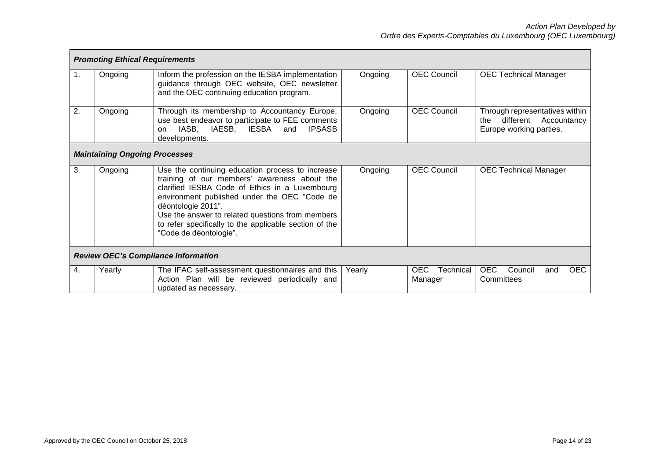|    | <b>Promoting Ethical Requirements</b> |                                                                                                                                                                                                                                                                                                                                                                  |         |                              |                                                                                           |  |  |  |  |
|----|---------------------------------------|------------------------------------------------------------------------------------------------------------------------------------------------------------------------------------------------------------------------------------------------------------------------------------------------------------------------------------------------------------------|---------|------------------------------|-------------------------------------------------------------------------------------------|--|--|--|--|
| 1. | Ongoing                               | Inform the profession on the IESBA implementation<br>guidance through OEC website, OEC newsletter<br>and the OEC continuing education program.                                                                                                                                                                                                                   | Ongoing | <b>OEC Council</b>           | <b>OEC Technical Manager</b>                                                              |  |  |  |  |
| 2. | Ongoing                               | Through its membership to Accountancy Europe,<br>use best endeavor to participate to FEE comments<br>IASB,<br>IAESB.<br>IESBA<br>and<br><b>IPSASB</b><br>on<br>developments.                                                                                                                                                                                     | Ongoing | <b>OEC Council</b>           | Through representatives within<br>different Accountancy<br>the<br>Europe working parties. |  |  |  |  |
|    | <b>Maintaining Ongoing Processes</b>  |                                                                                                                                                                                                                                                                                                                                                                  |         |                              |                                                                                           |  |  |  |  |
| 3. | Ongoing                               | Use the continuing education process to increase<br>training of our members' awareness about the<br>clarified IESBA Code of Ethics in a Luxembourg<br>environment published under the OEC "Code de<br>déontologie 2011".<br>Use the answer to related questions from members<br>to refer specifically to the applicable section of the<br>"Code de déontologie". | Ongoing | <b>OEC Council</b>           | <b>OEC Technical Manager</b>                                                              |  |  |  |  |
|    |                                       | <b>Review OEC's Compliance Information</b>                                                                                                                                                                                                                                                                                                                       |         |                              |                                                                                           |  |  |  |  |
| 4. | Yearly                                | The IFAC self-assessment questionnaires and this<br>Action Plan will be reviewed periodically and<br>updated as necessary.                                                                                                                                                                                                                                       | Yearly  | OEC.<br>Technical<br>Manager | <b>OEC</b><br>Council<br><b>OEC</b><br>and<br>Committees                                  |  |  |  |  |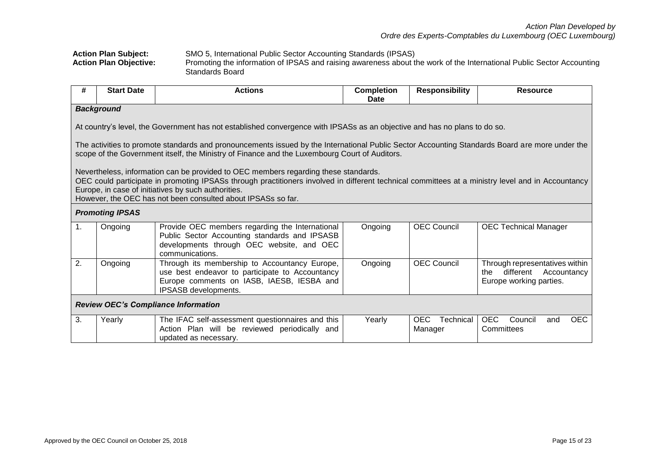### **Action Plan Subject:** SMO 5, International Public Sector Accounting Standards (IPSAS) **Action Plan Objective:** Promoting the information of IPSAS and raising awareness about the work of the International Public Sector Accounting Standards Board

| #  | <b>Start Date</b>                                                                                                                                                                                                                                                                                                                                               | <b>Actions</b>                                                                                                                                                        | <b>Completion</b><br>Date | <b>Responsibility</b>              | <b>Resource</b>                                                                              |  |  |  |  |  |
|----|-----------------------------------------------------------------------------------------------------------------------------------------------------------------------------------------------------------------------------------------------------------------------------------------------------------------------------------------------------------------|-----------------------------------------------------------------------------------------------------------------------------------------------------------------------|---------------------------|------------------------------------|----------------------------------------------------------------------------------------------|--|--|--|--|--|
|    | <b>Background</b>                                                                                                                                                                                                                                                                                                                                               |                                                                                                                                                                       |                           |                                    |                                                                                              |  |  |  |  |  |
|    | At country's level, the Government has not established convergence with IPSASs as an objective and has no plans to do so.                                                                                                                                                                                                                                       |                                                                                                                                                                       |                           |                                    |                                                                                              |  |  |  |  |  |
|    | The activities to promote standards and pronouncements issued by the International Public Sector Accounting Standards Board are more under the<br>scope of the Government itself, the Ministry of Finance and the Luxembourg Court of Auditors.                                                                                                                 |                                                                                                                                                                       |                           |                                    |                                                                                              |  |  |  |  |  |
|    | Nevertheless, information can be provided to OEC members regarding these standards.<br>OEC could participate in promoting IPSASs through practitioners involved in different technical committees at a ministry level and in Accountancy<br>Europe, in case of initiatives by such authorities.<br>However, the OEC has not been consulted about IPSASs so far. |                                                                                                                                                                       |                           |                                    |                                                                                              |  |  |  |  |  |
|    | <b>Promoting IPSAS</b>                                                                                                                                                                                                                                                                                                                                          |                                                                                                                                                                       |                           |                                    |                                                                                              |  |  |  |  |  |
| 1. | Ongoing                                                                                                                                                                                                                                                                                                                                                         | Provide OEC members regarding the International<br>Public Sector Accounting standards and IPSASB<br>developments through OEC website, and OEC<br>communications.      | Ongoing                   | <b>OEC Council</b>                 | <b>OEC Technical Manager</b>                                                                 |  |  |  |  |  |
| 2. | Ongoing                                                                                                                                                                                                                                                                                                                                                         | Through its membership to Accountancy Europe,<br>use best endeavor to participate to Accountancy<br>Europe comments on IASB, IAESB, IESBA and<br>IPSASB developments. | Ongoing                   | <b>OEC Council</b>                 | Through representatives within<br>different<br>Accountancy<br>the<br>Europe working parties. |  |  |  |  |  |
|    |                                                                                                                                                                                                                                                                                                                                                                 | <b>Review OEC's Compliance Information</b>                                                                                                                            |                           |                                    |                                                                                              |  |  |  |  |  |
| 3. | Yearly                                                                                                                                                                                                                                                                                                                                                          | The IFAC self-assessment questionnaires and this<br>Action Plan will be reviewed periodically and<br>updated as necessary.                                            | Yearly                    | <b>OEC</b><br>Technical<br>Manager | <b>OEC</b><br><b>OEC</b><br>Council<br>and<br>Committees                                     |  |  |  |  |  |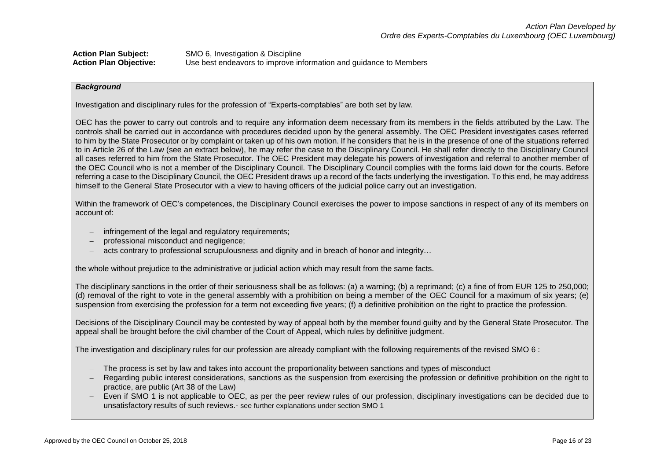| <b>Action Plan Subject:</b>   | SMO 6, Investigation & Discipline                                 |
|-------------------------------|-------------------------------------------------------------------|
| <b>Action Plan Objective:</b> | Use best endeavors to improve information and guidance to Members |

#### *Background*

Investigation and disciplinary rules for the profession of "Experts-comptables" are both set by law.

OEC has the power to carry out controls and to require any information deem necessary from its members in the fields attributed by the Law. The controls shall be carried out in accordance with procedures decided upon by the general assembly. The OEC President investigates cases referred to him by the State Prosecutor or by complaint or taken up of his own motion. If he considers that he is in the presence of one of the situations referred to in Article 26 of the Law (see an extract below), he may refer the case to the Disciplinary Council. He shall refer directly to the Disciplinary Council all cases referred to him from the State Prosecutor. The OEC President may delegate his powers of investigation and referral to another member of the OEC Council who is not a member of the Disciplinary Council. The Disciplinary Council complies with the forms laid down for the courts. Before referring a case to the Disciplinary Council, the OEC President draws up a record of the facts underlying the investigation. To this end, he may address himself to the General State Prosecutor with a view to having officers of the judicial police carry out an investigation.

Within the framework of OEC's competences, the Disciplinary Council exercises the power to impose sanctions in respect of any of its members on account of:

- infringement of the legal and requistory requirements;
- professional misconduct and negligence;
- acts contrary to professional scrupulousness and dignity and in breach of honor and integrity…

the whole without prejudice to the administrative or judicial action which may result from the same facts.

The disciplinary sanctions in the order of their seriousness shall be as follows: (a) a warning; (b) a reprimand; (c) a fine of from EUR 125 to 250,000; (d) removal of the right to vote in the general assembly with a prohibition on being a member of the OEC Council for a maximum of six years; (e) suspension from exercising the profession for a term not exceeding five years; (f) a definitive prohibition on the right to practice the profession.

Decisions of the Disciplinary Council may be contested by way of appeal both by the member found guilty and by the General State Prosecutor. The appeal shall be brought before the civil chamber of the Court of Appeal, which rules by definitive judgment.

The investigation and disciplinary rules for our profession are already compliant with the following requirements of the revised SMO 6 :

- The process is set by law and takes into account the proportionality between sanctions and types of misconduct
- Regarding public interest considerations, sanctions as the suspension from exercising the profession or definitive prohibition on the right to practice, are public (Art 38 of the Law)
- Even if SMO 1 is not applicable to OEC, as per the peer review rules of our profession, disciplinary investigations can be decided due to unsatisfactory results of such reviews.- see further explanations under section SMO 1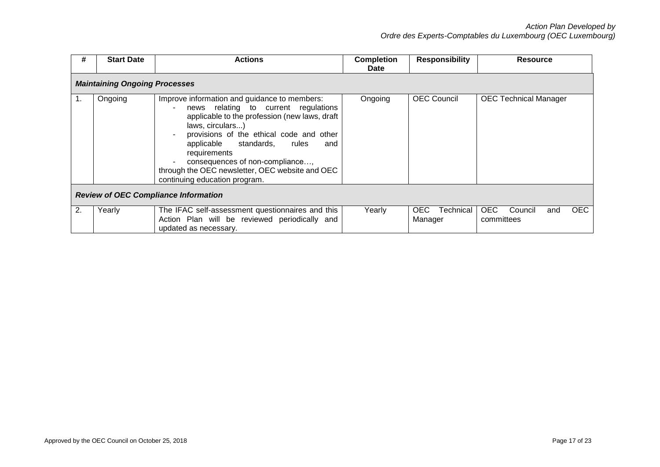| #  | <b>Start Date</b>                    | <b>Actions</b>                                                                                                                                                                                                                                                                                                                                                                        | <b>Completion</b><br><b>Date</b> | <b>Responsibility</b>        | <b>Resource</b>                                          |
|----|--------------------------------------|---------------------------------------------------------------------------------------------------------------------------------------------------------------------------------------------------------------------------------------------------------------------------------------------------------------------------------------------------------------------------------------|----------------------------------|------------------------------|----------------------------------------------------------|
|    | <b>Maintaining Ongoing Processes</b> |                                                                                                                                                                                                                                                                                                                                                                                       |                                  |                              |                                                          |
| 1. | Ongoing                              | Improve information and guidance to members:<br>news relating to current regulations<br>applicable to the profession (new laws, draft<br>laws, circulars)<br>provisions of the ethical code and other<br>applicable standards,<br>rules<br>and<br>requirements<br>consequences of non-compliance,<br>through the OEC newsletter, OEC website and OEC<br>continuing education program. | Ongoing                          | <b>OEC Council</b>           | <b>OEC Technical Manager</b>                             |
|    |                                      | <b>Review of OEC Compliance Information</b>                                                                                                                                                                                                                                                                                                                                           |                                  |                              |                                                          |
| 2. | Yearly                               | The IFAC self-assessment questionnaires and this<br>Action Plan will be reviewed periodically and<br>updated as necessary.                                                                                                                                                                                                                                                            | Yearly                           | Technical<br>OEC.<br>Manager | <b>OEC</b><br><b>OEC</b><br>Council<br>and<br>committees |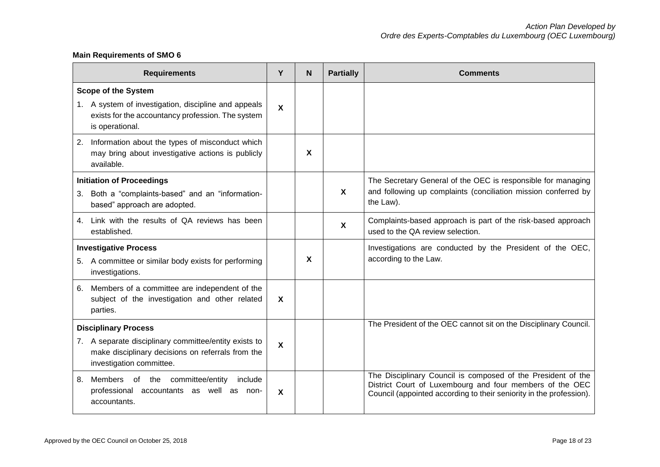# **Main Requirements of SMO 6**

|    | <b>Requirements</b>                                                                                                                                        | Y                         | <b>N</b> | <b>Partially</b>          | <b>Comments</b>                                                                                                                                                                                 |
|----|------------------------------------------------------------------------------------------------------------------------------------------------------------|---------------------------|----------|---------------------------|-------------------------------------------------------------------------------------------------------------------------------------------------------------------------------------------------|
|    | <b>Scope of the System</b><br>1. A system of investigation, discipline and appeals<br>exists for the accountancy profession. The system<br>is operational. | X                         |          |                           |                                                                                                                                                                                                 |
|    | 2. Information about the types of misconduct which<br>may bring about investigative actions is publicly<br>available.                                      |                           | X        |                           |                                                                                                                                                                                                 |
|    | <b>Initiation of Proceedings</b><br>3. Both a "complaints-based" and an "information-<br>based" approach are adopted.                                      |                           |          | $\mathbf{x}$              | The Secretary General of the OEC is responsible for managing<br>and following up complaints (conciliation mission conferred by<br>the Law).                                                     |
| 4. | Link with the results of QA reviews has been<br>established.                                                                                               |                           |          | $\boldsymbol{\mathsf{X}}$ | Complaints-based approach is part of the risk-based approach<br>used to the QA review selection.                                                                                                |
|    | <b>Investigative Process</b><br>5. A committee or similar body exists for performing<br>investigations.                                                    |                           | X        |                           | Investigations are conducted by the President of the OEC,<br>according to the Law.                                                                                                              |
|    | 6. Members of a committee are independent of the<br>subject of the investigation and other related<br>parties.                                             | $\mathbf{x}$              |          |                           |                                                                                                                                                                                                 |
|    | <b>Disciplinary Process</b>                                                                                                                                |                           |          |                           | The President of the OEC cannot sit on the Disciplinary Council.                                                                                                                                |
|    | 7. A separate disciplinary committee/entity exists to<br>make disciplinary decisions on referrals from the<br>investigation committee.                     | $\mathsf{X}$              |          |                           |                                                                                                                                                                                                 |
| 8. | Members of the committee/entity<br>include<br>professional accountants as well as non-<br>accountants.                                                     | $\boldsymbol{\mathsf{X}}$ |          |                           | The Disciplinary Council is composed of the President of the<br>District Court of Luxembourg and four members of the OEC<br>Council (appointed according to their seniority in the profession). |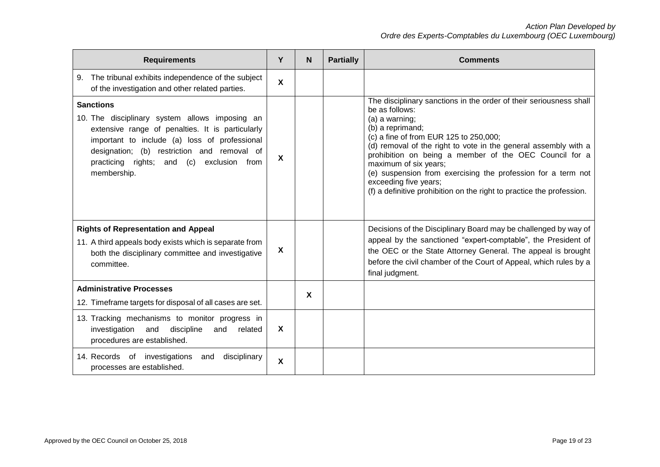| <b>Requirements</b>                                                                                                                                                                                                                                                                   | Y                         | N                         | <b>Partially</b> | <b>Comments</b>                                                                                                                                                                                                                                                                                                                                                                                                                                                                              |
|---------------------------------------------------------------------------------------------------------------------------------------------------------------------------------------------------------------------------------------------------------------------------------------|---------------------------|---------------------------|------------------|----------------------------------------------------------------------------------------------------------------------------------------------------------------------------------------------------------------------------------------------------------------------------------------------------------------------------------------------------------------------------------------------------------------------------------------------------------------------------------------------|
| 9. The tribunal exhibits independence of the subject<br>of the investigation and other related parties.                                                                                                                                                                               | $\boldsymbol{\mathsf{X}}$ |                           |                  |                                                                                                                                                                                                                                                                                                                                                                                                                                                                                              |
| <b>Sanctions</b><br>10. The disciplinary system allows imposing an<br>extensive range of penalties. It is particularly<br>important to include (a) loss of professional<br>designation; (b) restriction and removal of<br>practicing rights; and (c)<br>exclusion from<br>membership. | $\boldsymbol{\mathsf{x}}$ |                           |                  | The disciplinary sanctions in the order of their seriousness shall<br>be as follows:<br>(a) a warning;<br>(b) a reprimand;<br>(c) a fine of from EUR 125 to 250,000;<br>(d) removal of the right to vote in the general assembly with a<br>prohibition on being a member of the OEC Council for a<br>maximum of six years;<br>(e) suspension from exercising the profession for a term not<br>exceeding five years;<br>(f) a definitive prohibition on the right to practice the profession. |
| <b>Rights of Representation and Appeal</b><br>11. A third appeals body exists which is separate from<br>both the disciplinary committee and investigative<br>committee.                                                                                                               | X                         |                           |                  | Decisions of the Disciplinary Board may be challenged by way of<br>appeal by the sanctioned "expert-comptable", the President of<br>the OEC or the State Attorney General. The appeal is brought<br>before the civil chamber of the Court of Appeal, which rules by a<br>final judgment.                                                                                                                                                                                                     |
| <b>Administrative Processes</b><br>12. Timeframe targets for disposal of all cases are set.                                                                                                                                                                                           |                           | $\boldsymbol{\mathsf{x}}$ |                  |                                                                                                                                                                                                                                                                                                                                                                                                                                                                                              |
| 13. Tracking mechanisms to monitor progress in<br>investigation and discipline<br>and<br>related<br>procedures are established.                                                                                                                                                       | $\boldsymbol{\mathsf{x}}$ |                           |                  |                                                                                                                                                                                                                                                                                                                                                                                                                                                                                              |
| 14. Records of investigations<br>disciplinary<br>and<br>processes are established.                                                                                                                                                                                                    | X                         |                           |                  |                                                                                                                                                                                                                                                                                                                                                                                                                                                                                              |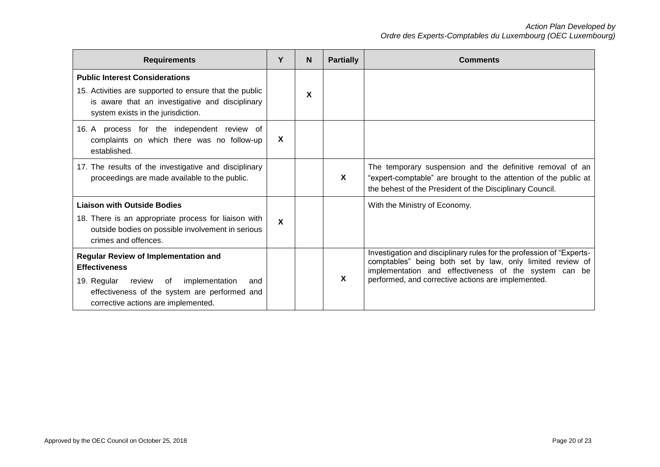| <b>Requirements</b>                                                                                                                                                                                              | Υ | N | <b>Partially</b> | <b>Comments</b>                                                                                                                                                                                                                                  |
|------------------------------------------------------------------------------------------------------------------------------------------------------------------------------------------------------------------|---|---|------------------|--------------------------------------------------------------------------------------------------------------------------------------------------------------------------------------------------------------------------------------------------|
| <b>Public Interest Considerations</b><br>15. Activities are supported to ensure that the public<br>is aware that an investigative and disciplinary<br>system exists in the jurisdiction.                         |   | X |                  |                                                                                                                                                                                                                                                  |
| 16. A process for the independent review of<br>complaints on which there was no follow-up<br>established.                                                                                                        | X |   |                  |                                                                                                                                                                                                                                                  |
| 17. The results of the investigative and disciplinary<br>proceedings are made available to the public.                                                                                                           |   |   | X                | The temporary suspension and the definitive removal of an<br>"expert-comptable" are brought to the attention of the public at<br>the behest of the President of the Disciplinary Council.                                                        |
| <b>Liaison with Outside Bodies</b><br>18. There is an appropriate process for liaison with<br>outside bodies on possible involvement in serious<br>crimes and offences.                                          | X |   |                  | With the Ministry of Economy.                                                                                                                                                                                                                    |
| <b>Regular Review of Implementation and</b><br><b>Effectiveness</b><br>19. Regular review<br>implementation<br>of<br>and<br>effectiveness of the system are performed and<br>corrective actions are implemented. |   |   | X                | Investigation and disciplinary rules for the profession of "Experts-<br>comptables" being both set by law, only limited review of<br>implementation and effectiveness of the system can be<br>performed, and corrective actions are implemented. |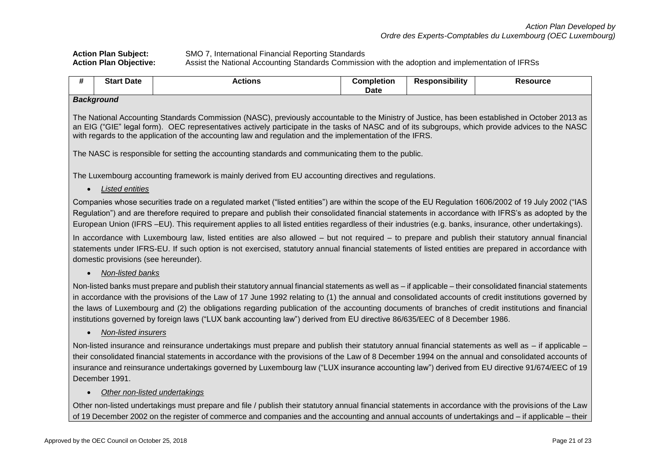# **Action Plan Subject:** SMO 7, International Financial Reporting Standards<br>**Action Plan Obiective:** Assist the National Accounting Standards Commissi **Action Plan Objective:** Assist the National Accounting Standards Commission with the adoption and implementation of IFRSs

| <br>.<br>Star.<br>Date<br>completion.<br>Responsibilitv<br><b>Resource</b><br>Actions<br>.<br>Date |  |
|----------------------------------------------------------------------------------------------------|--|
|----------------------------------------------------------------------------------------------------|--|

#### *Background*

The National Accounting Standards Commission (NASC), previously accountable to the Ministry of Justice, has been established in October 2013 as an EIG ("GIE" legal form). OEC representatives actively participate in the tasks of NASC and of its subgroups, which provide advices to the NASC with regards to the application of the accounting law and regulation and the implementation of the IFRS.

The NASC is responsible for setting the accounting standards and communicating them to the public.

The Luxembourg accounting framework is mainly derived from EU accounting directives and regulations.

*Listed entities*

Companies whose securities trade on a regulated market ("listed entities") are within the scope of the EU Regulation 1606/2002 of 19 July 2002 ("IAS Regulation") and are therefore required to prepare and publish their consolidated financial statements in accordance with IFRS's as adopted by the European Union (IFRS –EU). This requirement applies to all listed entities regardless of their industries (e.g. banks, insurance, other undertakings).

In accordance with Luxembourg law, listed entities are also allowed – but not required – to prepare and publish their statutory annual financial statements under IFRS-EU. If such option is not exercised, statutory annual financial statements of listed entities are prepared in accordance with domestic provisions (see hereunder).

*Non-listed banks*

Non-listed banks must prepare and publish their statutory annual financial statements as well as – if applicable – their consolidated financial statements in accordance with the provisions of the Law of 17 June 1992 relating to (1) the annual and consolidated accounts of credit institutions governed by the laws of Luxembourg and (2) the obligations regarding publication of the accounting documents of branches of credit institutions and financial institutions governed by foreign laws ("LUX bank accounting law") derived from EU directive 86/635/EEC of 8 December 1986.

*Non-listed insurers*

Non-listed insurance and reinsurance undertakings must prepare and publish their statutory annual financial statements as well as – if applicable – their consolidated financial statements in accordance with the provisions of the Law of 8 December 1994 on the annual and consolidated accounts of insurance and reinsurance undertakings governed by Luxembourg law ("LUX insurance accounting law") derived from EU directive 91/674/EEC of 19 December 1991.

## *Other non-listed undertakings*

Other non-listed undertakings must prepare and file / publish their statutory annual financial statements in accordance with the provisions of the Law of 19 December 2002 on the register of commerce and companies and the accounting and annual accounts of undertakings and – if applicable – their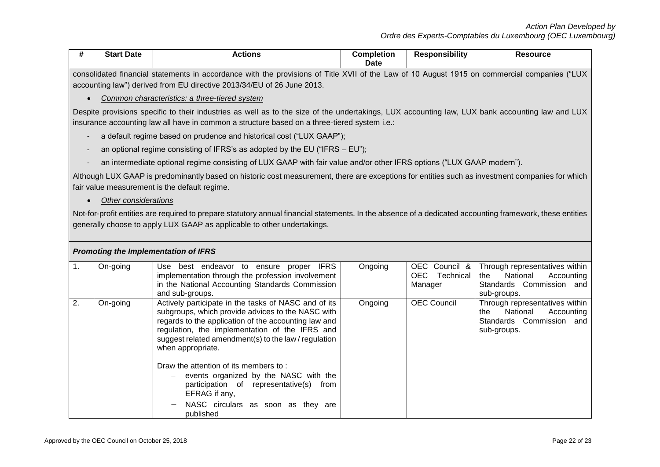|  | <b>Date</b><br><b>Start</b> | :ctɪon | :ompletion<br>Date | <b>Responsibility</b> | Resource |  |  |
|--|-----------------------------|--------|--------------------|-----------------------|----------|--|--|
|  |                             |        |                    |                       |          |  |  |

consolidated financial statements in accordance with the provisions of Title XVII of the Law of 10 August 1915 on commercial companies ("LUX accounting law") derived from EU directive 2013/34/EU of 26 June 2013.

### *Common characteristics: a three-tiered system*

Despite provisions specific to their industries as well as to the size of the undertakings, LUX accounting law, LUX bank accounting law and LUX insurance accounting law all have in common a structure based on a three-tiered system i.e.:

- a default regime based on prudence and historical cost ("LUX GAAP");
- an optional regime consisting of IFRS's as adopted by the EU ("IFRS  $-$  EU");
- an intermediate optional regime consisting of LUX GAAP with fair value and/or other IFRS options ("LUX GAAP modern").

Although LUX GAAP is predominantly based on historic cost measurement, there are exceptions for entities such as investment companies for which fair value measurement is the default regime.

## *Other considerations*

Not-for-profit entities are required to prepare statutory annual financial statements. In the absence of a dedicated accounting framework, these entities generally choose to apply LUX GAAP as applicable to other undertakings.

| <b>Promoting the Implementation of IFRS</b> |          |                                                                                                                                                                                                                                                                                                                                                                                                                                                   |         |                                           |                                                                                                            |  |  |  |  |
|---------------------------------------------|----------|---------------------------------------------------------------------------------------------------------------------------------------------------------------------------------------------------------------------------------------------------------------------------------------------------------------------------------------------------------------------------------------------------------------------------------------------------|---------|-------------------------------------------|------------------------------------------------------------------------------------------------------------|--|--|--|--|
| п.                                          | On-going | <b>IFRS</b><br>Use best endeavor to ensure proper<br>implementation through the profession involvement<br>in the National Accounting Standards Commission<br>and sub-groups.                                                                                                                                                                                                                                                                      | Ongoing | OEC Council &<br>OEC Technical<br>Manager | Through representatives within<br>National<br>the<br>Accounting<br>Standards Commission and<br>sub-groups. |  |  |  |  |
| 2.                                          | On-going | Actively participate in the tasks of NASC and of its<br>subgroups, which provide advices to the NASC with<br>regards to the application of the accounting law and<br>regulation, the implementation of the IFRS and<br>suggest related amendment(s) to the law / regulation<br>when appropriate.<br>Draw the attention of its members to:<br>events organized by the NASC with the<br>participation of representative(s)<br>from<br>EFRAG if any, | Ongoing | <b>OEC Council</b>                        | Through representatives within<br>National<br>Accounting<br>the<br>Standards Commission and<br>sub-groups. |  |  |  |  |
|                                             |          | NASC circulars as soon as they are<br>published                                                                                                                                                                                                                                                                                                                                                                                                   |         |                                           |                                                                                                            |  |  |  |  |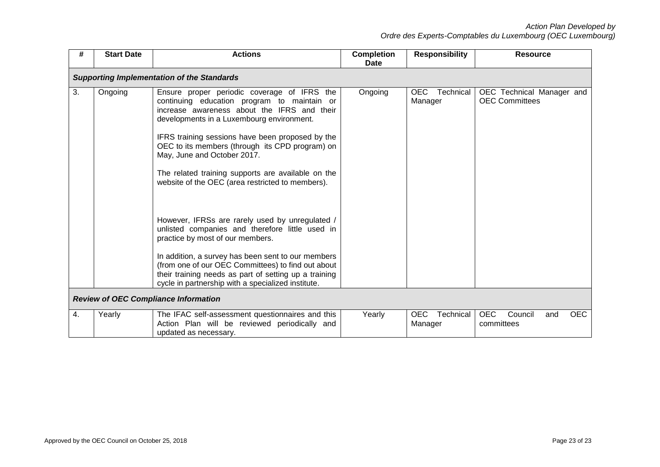| #                                                                                                 | <b>Start Date</b> | <b>Actions</b>                                                                                                                                                                                                                                                                                                                                                                                                                                                                                                                                                                                                                                                                                                                                        | <b>Completion</b><br>Date | <b>Responsibility</b>        | <b>Resource</b>                                          |  |  |  |  |
|---------------------------------------------------------------------------------------------------|-------------------|-------------------------------------------------------------------------------------------------------------------------------------------------------------------------------------------------------------------------------------------------------------------------------------------------------------------------------------------------------------------------------------------------------------------------------------------------------------------------------------------------------------------------------------------------------------------------------------------------------------------------------------------------------------------------------------------------------------------------------------------------------|---------------------------|------------------------------|----------------------------------------------------------|--|--|--|--|
| <b>Supporting Implementation of the Standards</b>                                                 |                   |                                                                                                                                                                                                                                                                                                                                                                                                                                                                                                                                                                                                                                                                                                                                                       |                           |                              |                                                          |  |  |  |  |
| 3.                                                                                                | Ongoing           | Ensure proper periodic coverage of IFRS the<br>continuing education program to maintain or<br>increase awareness about the IFRS and their<br>developments in a Luxembourg environment.<br>IFRS training sessions have been proposed by the<br>OEC to its members (through its CPD program) on<br>May, June and October 2017.<br>The related training supports are available on the<br>website of the OEC (area restricted to members).<br>However, IFRSs are rarely used by unregulated /<br>unlisted companies and therefore little used in<br>practice by most of our members.<br>In addition, a survey has been sent to our members<br>(from one of our OEC Committees) to find out about<br>their training needs as part of setting up a training | Ongoing                   | OEC Technical<br>Manager     | OEC Technical Manager and<br><b>OEC Committees</b>       |  |  |  |  |
| cycle in partnership with a specialized institute.<br><b>Review of OEC Compliance Information</b> |                   |                                                                                                                                                                                                                                                                                                                                                                                                                                                                                                                                                                                                                                                                                                                                                       |                           |                              |                                                          |  |  |  |  |
| 4.                                                                                                | Yearly            | The IFAC self-assessment questionnaires and this<br>Action Plan will be reviewed periodically and<br>updated as necessary.                                                                                                                                                                                                                                                                                                                                                                                                                                                                                                                                                                                                                            | Yearly                    | OEC.<br>Technical<br>Manager | <b>OEC</b><br>Council<br><b>OEC</b><br>and<br>committees |  |  |  |  |